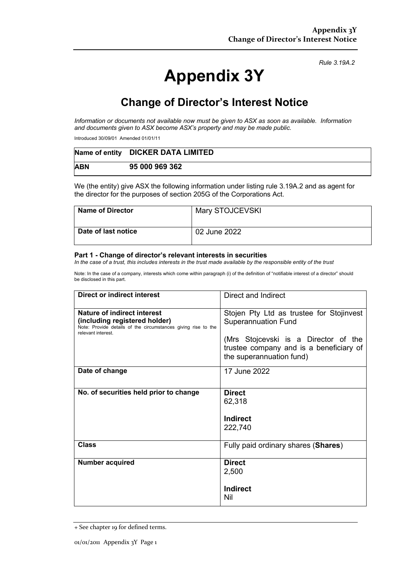# **Appendix 3Y**

*Rule 3.19A.2*

## **Change of Director's Interest Notice**

*Information or documents not available now must be given to ASX as soon as available. Information and documents given to ASX become ASX's property and may be made public.*

Introduced 30/09/01 Amended 01/01/11

|            | Name of entity DICKER DATA LIMITED |
|------------|------------------------------------|
| <b>ABN</b> | 95 000 969 362                     |

We (the entity) give ASX the following information under listing rule 3.19A.2 and as agent for the director for the purposes of section 205G of the Corporations Act.

| <b>Name of Director</b> | Mary STOJCEVSKI |
|-------------------------|-----------------|
| Date of last notice     | 02 June 2022    |

#### **Part 1 - Change of director's relevant interests in securities**

*In the case of a trust, this includes interests in the trust made available by the responsible entity of the trust*

Note: In the case of a company, interests which come within paragraph (i) of the definition of "notifiable interest of a director" should be disclosed in this part.

| <b>Direct or indirect interest</b>                                                                                                                  | Direct and Indirect                                                                                         |  |
|-----------------------------------------------------------------------------------------------------------------------------------------------------|-------------------------------------------------------------------------------------------------------------|--|
| Nature of indirect interest<br>(including registered holder)<br>Note: Provide details of the circumstances giving rise to the<br>relevant interest. | Stojen Pty Ltd as trustee for Stojinvest<br><b>Superannuation Fund</b>                                      |  |
|                                                                                                                                                     | (Mrs Stojcevski is a Director of the<br>trustee company and is a beneficiary of<br>the superannuation fund) |  |
| Date of change                                                                                                                                      | 17 June 2022                                                                                                |  |
| No. of securities held prior to change                                                                                                              | <b>Direct</b><br>62,318<br>Indirect<br>222,740                                                              |  |
| <b>Class</b>                                                                                                                                        | Fully paid ordinary shares (Shares)                                                                         |  |
| <b>Number acquired</b>                                                                                                                              | <b>Direct</b><br>2,500<br>Indirect<br>Nil                                                                   |  |

<sup>+</sup> See chapter 19 for defined terms.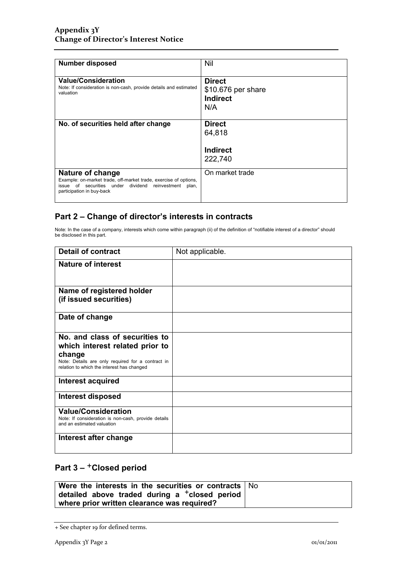| <b>Number disposed</b>                                                                                                                                                        | Nil                                                           |
|-------------------------------------------------------------------------------------------------------------------------------------------------------------------------------|---------------------------------------------------------------|
| <b>Value/Consideration</b><br>Note: If consideration is non-cash, provide details and estimated<br>valuation                                                                  | <b>Direct</b><br>\$10.676 per share<br><b>Indirect</b><br>N/A |
| No. of securities held after change                                                                                                                                           | <b>Direct</b><br>64,818<br>Indirect                           |
|                                                                                                                                                                               | 222,740                                                       |
| Nature of change<br>Example: on-market trade, off-market trade, exercise of options,<br>issue of securities under dividend reinvestment<br>plan,<br>participation in buy-back | On market trade                                               |

### **Part 2 – Change of director's interests in contracts**

Note: In the case of a company, interests which come within paragraph (ii) of the definition of "notifiable interest of a director" should be disclosed in this part.

| <b>Detail of contract</b>                                                                                       | Not applicable. |
|-----------------------------------------------------------------------------------------------------------------|-----------------|
| Nature of interest                                                                                              |                 |
| Name of registered holder<br>(if issued securities)                                                             |                 |
| Date of change                                                                                                  |                 |
| No. and class of securities to<br>which interest related prior to                                               |                 |
| change<br>Note: Details are only required for a contract in<br>relation to which the interest has changed       |                 |
| Interest acquired                                                                                               |                 |
| Interest disposed                                                                                               |                 |
| <b>Value/Consideration</b><br>Note: If consideration is non-cash, provide details<br>and an estimated valuation |                 |
| Interest after change                                                                                           |                 |

### **Part 3 –** +**Closed period**

| Were the interests in the securities or contracts $\vert$ No      |  |
|-------------------------------------------------------------------|--|
| $\vert$ detailed above traded during a $^+$ closed period $\vert$ |  |
| where prior written clearance was required?                       |  |

<sup>+</sup> See chapter 19 for defined terms.